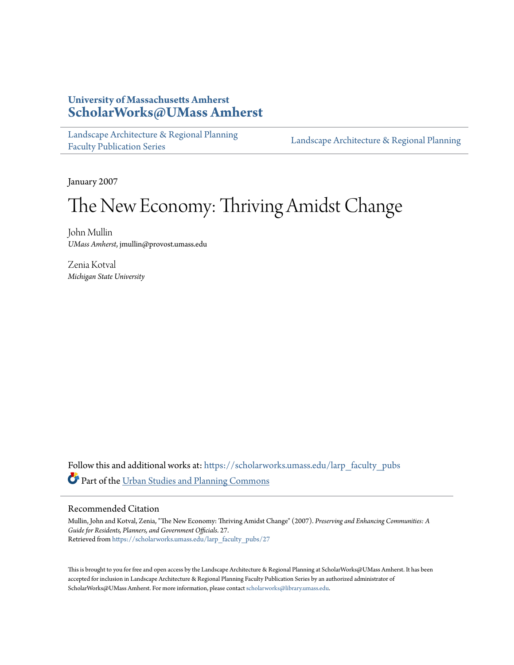#### **University of Massachusetts Amherst [ScholarWorks@UMass Amherst](https://scholarworks.umass.edu?utm_source=scholarworks.umass.edu%2Flarp_faculty_pubs%2F27&utm_medium=PDF&utm_campaign=PDFCoverPages)**

[Landscape Architecture & Regional Planning](https://scholarworks.umass.edu/larp_faculty_pubs?utm_source=scholarworks.umass.edu%2Flarp_faculty_pubs%2F27&utm_medium=PDF&utm_campaign=PDFCoverPages) [Faculty Publication Series](https://scholarworks.umass.edu/larp_faculty_pubs?utm_source=scholarworks.umass.edu%2Flarp_faculty_pubs%2F27&utm_medium=PDF&utm_campaign=PDFCoverPages)

[Landscape Architecture & Regional Planning](https://scholarworks.umass.edu/larp?utm_source=scholarworks.umass.edu%2Flarp_faculty_pubs%2F27&utm_medium=PDF&utm_campaign=PDFCoverPages)

January 2007

## The New Economy: Thriving Amidst Change

John Mullin *UMass Amherst*, jmullin@provost.umass.edu

Zenia Kotval *Michigan State University*

Follow this and additional works at: [https://scholarworks.umass.edu/larp\\_faculty\\_pubs](https://scholarworks.umass.edu/larp_faculty_pubs?utm_source=scholarworks.umass.edu%2Flarp_faculty_pubs%2F27&utm_medium=PDF&utm_campaign=PDFCoverPages) Part of the [Urban Studies and Planning Commons](http://network.bepress.com/hgg/discipline/436?utm_source=scholarworks.umass.edu%2Flarp_faculty_pubs%2F27&utm_medium=PDF&utm_campaign=PDFCoverPages)

#### Recommended Citation

Mullin, John and Kotval, Zenia, "The New Economy: Thriving Amidst Change" (2007). *Preserving and Enhancing Communities: A Guide for Residents, Planners, and Government Officials*. 27. Retrieved from [https://scholarworks.umass.edu/larp\\_faculty\\_pubs/27](https://scholarworks.umass.edu/larp_faculty_pubs/27?utm_source=scholarworks.umass.edu%2Flarp_faculty_pubs%2F27&utm_medium=PDF&utm_campaign=PDFCoverPages)

This is brought to you for free and open access by the Landscape Architecture & Regional Planning at ScholarWorks@UMass Amherst. It has been accepted for inclusion in Landscape Architecture & Regional Planning Faculty Publication Series by an authorized administrator of ScholarWorks@UMass Amherst. For more information, please contact [scholarworks@library.umass.edu.](mailto:scholarworks@library.umass.edu)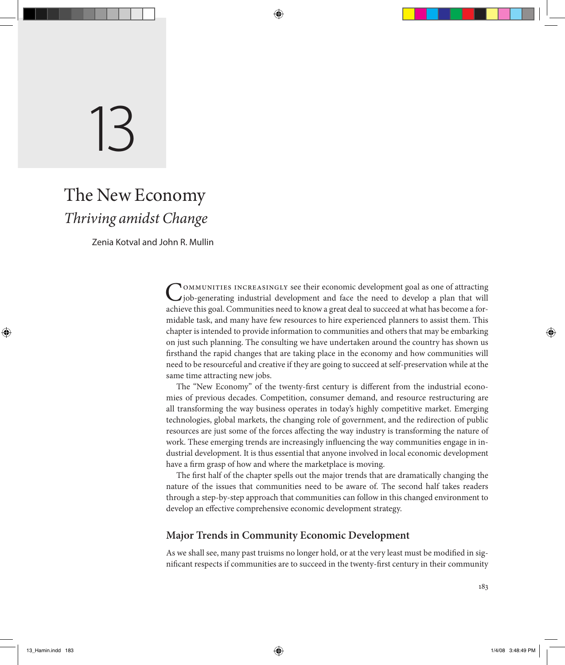# 13

### The New Economy *Thriving amidst Change*

Zenia Kotval and John R. Mullin

COMMUNITIES INCREASINGLY see their economic development goal as one of attracting<br>job-generating industrial development and face the need to develop a plan that will **NOMMUNITIES INCREASINGLY see their economic development goal as one of attracting** achieve this goal. Communities need to know a great deal to succeed at what has become a formidable task, and many have few resources to hire experienced planners to assist them. This chapter is intended to provide information to communities and others that may be embarking on just such planning. The consulting we have undertaken around the country has shown us firsthand the rapid changes that are taking place in the economy and how communities will need to be resourceful and creative if they are going to succeed at self-preservation while at the same time attracting new jobs.

The "New Economy" of the twenty-first century is different from the industrial economies of previous decades. Competition, consumer demand, and resource restructuring are all transforming the way business operates in today's highly competitive market. Emerging technologies, global markets, the changing role of government, and the redirection of public resources are just some of the forces affecting the way industry is transforming the nature of work. These emerging trends are increasingly influencing the way communities engage in industrial development. It is thus essential that anyone involved in local economic development have a firm grasp of how and where the marketplace is moving.

The first half of the chapter spells out the major trends that are dramatically changing the nature of the issues that communities need to be aware of. The second half takes readers through a step-by-step approach that communities can follow in this changed environment to develop an effective comprehensive economic development strategy.

#### **Major Trends in Community Economic Development**

As we shall see, many past truisms no longer hold, or at the very least must be modified in significant respects if communities are to succeed in the twenty-first century in their community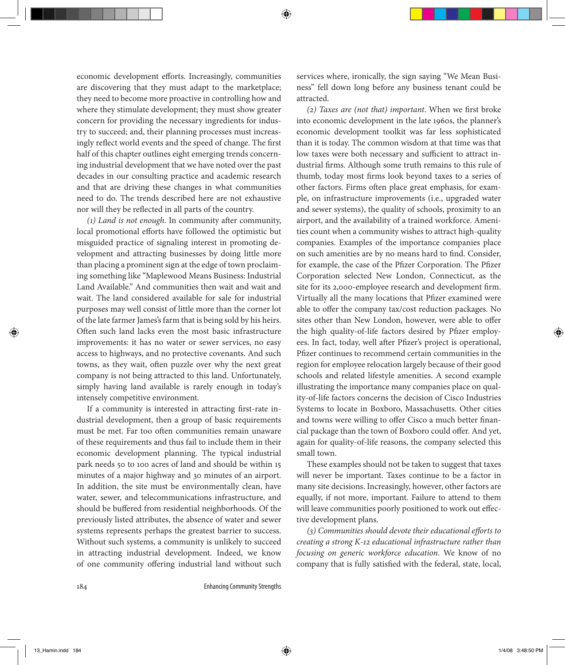economic development efforts. Increasingly, communities are discovering that they must adapt to the marketplace; they need to become more proactive in controlling how and where they stimulate development; they must show greater concern for providing the necessary ingredients for industry to succeed; and, their planning processes must increasingly reflect world events and the speed of change. The first half of this chapter outlines eight emerging trends concerning industrial development that we have noted over the past decades in our consulting practice and academic research and that are driving these changes in what communities need to do. The trends described here are not exhaustive nor will they be reflected in all parts of the country.

*(1) Land is not enough*. In community after community, local promotional efforts have followed the optimistic but misguided practice of signaling interest in promoting development and attracting businesses by doing little more than placing a prominent sign at the edge of town proclaiming something like "Maplewood Means Business: Industrial Land Available." And communities then wait and wait and wait. The land considered available for sale for industrial purposes may well consist of little more than the corner lot of the late farmer James's farm that is being sold by his heirs. Often such land lacks even the most basic infrastructure improvements: it has no water or sewer services, no easy access to highways, and no protective covenants. And such towns, as they wait, often puzzle over why the next great company is not being attracted to this land. Unfortunately, simply having land available is rarely enough in today's intensely competitive environment.

If a community is interested in attracting first-rate industrial development, then a group of basic requirements must be met. Far too often communities remain unaware of these requirements and thus fail to include them in their economic development planning. The typical industrial park needs 50 to 100 acres of land and should be within 15 minutes of a major highway and 30 minutes of an airport. In addition, the site must be environmentally clean, have water, sewer, and telecommunications infrastructure, and should be buffered from residential neighborhoods. Of the previously listed attributes, the absence of water and sewer systems represents perhaps the greatest barrier to success. Without such systems, a community is unlikely to succeed in attracting industrial development. Indeed, we know of one community offering industrial land without such

services where, ironically, the sign saying "We Mean Business" fell down long before any business tenant could be attracted.

*(2) Taxes are (not that) important*. When we first broke into economic development in the late 1960s, the planner's economic development toolkit was far less sophisticated than it is today. The common wisdom at that time was that low taxes were both necessary and sufficient to attract industrial firms. Although some truth remains to this rule of thumb, today most firms look beyond taxes to a series of other factors. Firms often place great emphasis, for example, on infrastructure improvements (i.e., upgraded water and sewer systems), the quality of schools, proximity to an airport, and the availability of a trained workforce. Amenities count when a community wishes to attract high-quality companies. Examples of the importance companies place on such amenities are by no means hard to find. Consider, for example, the case of the Pfizer Corporation. The Pfizer Corporation selected New London, Connecticut, as the site for its 2,000-employee research and development firm. Virtually all the many locations that Pfizer examined were able to offer the company tax/cost reduction packages. No sites other than New London, however, were able to offer the high quality-of-life factors desired by Pfizer employees. In fact, today, well after Pfizer's project is operational, Pfizer continues to recommend certain communities in the region for employee relocation largely because of their good schools and related lifestyle amenities. A second example illustrating the importance many companies place on quality-of-life factors concerns the decision of Cisco Industries Systems to locate in Boxboro, Massachusetts. Other cities and towns were willing to offer Cisco a much better financial package than the town of Boxboro could offer. And yet, again for quality-of-life reasons, the company selected this small town.

These examples should not be taken to suggest that taxes will never be important. Taxes continue to be a factor in many site decisions. Increasingly, however, other factors are equally, if not more, important. Failure to attend to them will leave communities poorly positioned to work out effective development plans.

*(3) Communities should devote their educational efforts to creating a strong K-12 educational infrastructure rather than focusing on generic workforce education*. We know of no company that is fully satisfied with the federal, state, local,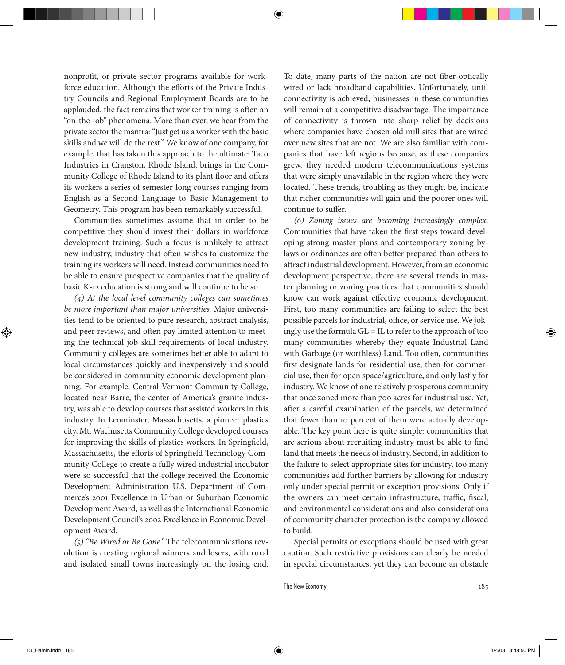nonprofit, or private sector programs available for workforce education. Although the efforts of the Private Industry Councils and Regional Employment Boards are to be applauded, the fact remains that worker training is often an "on-the-job" phenomena. More than ever, we hear from the private sector the mantra: "Just get us a worker with the basic skills and we will do the rest." We know of one company, for example, that has taken this approach to the ultimate: Taco Industries in Cranston, Rhode Island, brings in the Community College of Rhode Island to its plant floor and offers its workers a series of semester-long courses ranging from English as a Second Language to Basic Management to Geometry. This program has been remarkably successful.

Communities sometimes assume that in order to be competitive they should invest their dollars in workforce development training. Such a focus is unlikely to attract new industry, industry that often wishes to customize the training its workers will need. Instead communities need to be able to ensure prospective companies that the quality of basic K-12 education is strong and will continue to be so.

*(4) At the local level community colleges can sometimes be more important than major universities.* Major universities tend to be oriented to pure research, abstract analysis, and peer reviews, and often pay limited attention to meeting the technical job skill requirements of local industry. Community colleges are sometimes better able to adapt to local circumstances quickly and inexpensively and should be considered in community economic development planning. For example, Central Vermont Community College, located near Barre, the center of America's granite industry, was able to develop courses that assisted workers in this industry. In Leominster, Massachusetts, a pioneer plastics city, Mt. Wachusetts Community College developed courses for improving the skills of plastics workers. In Springfield, Massachusetts, the efforts of Springfield Technology Community College to create a fully wired industrial incubator were so successful that the college received the Economic Development Administration U.S. Department of Commerce's 2001 Excellence in Urban or Suburban Economic Development Award, as well as the International Economic Development Council's 2002 Excellence in Economic Development Award.

*(5) "Be Wired or Be Gone."* The telecommunications revolution is creating regional winners and losers, with rural and isolated small towns increasingly on the losing end. To date, many parts of the nation are not fiber-optically wired or lack broadband capabilities. Unfortunately, until connectivity is achieved, businesses in these communities will remain at a competitive disadvantage. The importance of connectivity is thrown into sharp relief by decisions where companies have chosen old mill sites that are wired over new sites that are not. We are also familiar with companies that have left regions because, as these companies grew, they needed modern telecommunications systems that were simply unavailable in the region where they were located. These trends, troubling as they might be, indicate that richer communities will gain and the poorer ones will continue to suffer.

*(6) Zoning issues are becoming increasingly complex*. Communities that have taken the first steps toward developing strong master plans and contemporary zoning bylaws or ordinances are often better prepared than others to attract industrial development. However, from an economic development perspective, there are several trends in master planning or zoning practices that communities should know can work against effective economic development. First, too many communities are failing to select the best possible parcels for industrial, office, or service use. We jokingly use the formula GL = IL to refer to the approach of too many communities whereby they equate Industrial Land with Garbage (or worthless) Land. Too often, communities first designate lands for residential use, then for commercial use, then for open space/agriculture, and only lastly for industry. We know of one relatively prosperous community that once zoned more than 700 acres for industrial use. Yet, after a careful examination of the parcels, we determined that fewer than 10 percent of them were actually developable. The key point here is quite simple: communities that are serious about recruiting industry must be able to find land that meets the needs of industry. Second, in addition to the failure to select appropriate sites for industry, too many communities add further barriers by allowing for industry only under special permit or exception provisions. Only if the owners can meet certain infrastructure, traffic, fiscal, and environmental considerations and also considerations of community character protection is the company allowed to build.

Special permits or exceptions should be used with great caution. Such restrictive provisions can clearly be needed in special circumstances, yet they can become an obstacle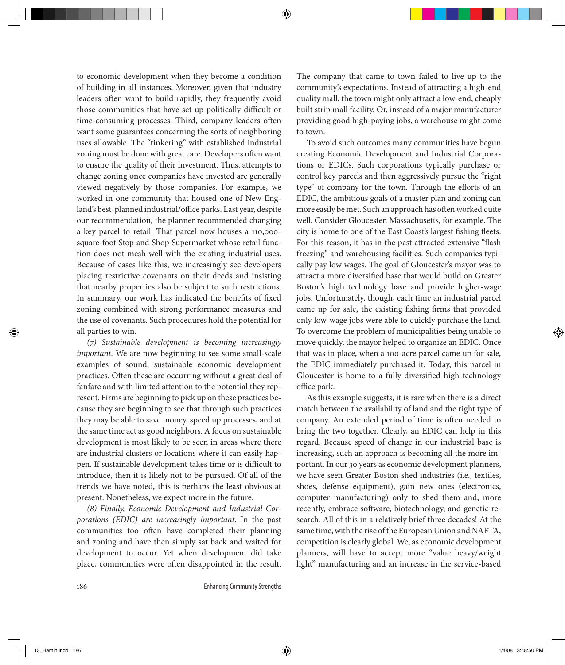to economic development when they become a condition of building in all instances. Moreover, given that industry leaders often want to build rapidly, they frequently avoid those communities that have set up politically difficult or time-consuming processes. Third, company leaders often want some guarantees concerning the sorts of neighboring uses allowable. The "tinkering" with established industrial zoning must be done with great care. Developers often want to ensure the quality of their investment. Thus, attempts to change zoning once companies have invested are generally viewed negatively by those companies. For example, we worked in one community that housed one of New England's best-planned industrial/office parks. Last year, despite our recommendation, the planner recommended changing a key parcel to retail. That parcel now houses a 110,000 square-foot Stop and Shop Supermarket whose retail function does not mesh well with the existing industrial uses. Because of cases like this, we increasingly see developers placing restrictive covenants on their deeds and insisting that nearby properties also be subject to such restrictions. In summary, our work has indicated the benefits of fixed zoning combined with strong performance measures and the use of covenants. Such procedures hold the potential for all parties to win.

*(7) Sustainable development is becoming increasingly important*. We are now beginning to see some small-scale examples of sound, sustainable economic development practices. Often these are occurring without a great deal of fanfare and with limited attention to the potential they represent. Firms are beginning to pick up on these practices because they are beginning to see that through such practices they may be able to save money, speed up processes, and at the same time act as good neighbors. A focus on sustainable development is most likely to be seen in areas where there are industrial clusters or locations where it can easily happen. If sustainable development takes time or is difficult to introduce, then it is likely not to be pursued. Of all of the trends we have noted, this is perhaps the least obvious at present. Nonetheless, we expect more in the future.

*(8) Finally, Economic Development and Industrial Corporations (EDIC) are increasingly important*. In the past communities too often have completed their planning and zoning and have then simply sat back and waited for development to occur. Yet when development did take place, communities were often disappointed in the result.

The company that came to town failed to live up to the community's expectations. Instead of attracting a high-end quality mall, the town might only attract a low-end, cheaply built strip mall facility. Or, instead of a major manufacturer providing good high-paying jobs, a warehouse might come to town.

To avoid such outcomes many communities have begun creating Economic Development and Industrial Corporations or EDICs. Such corporations typically purchase or control key parcels and then aggressively pursue the "right type" of company for the town. Through the efforts of an EDIC, the ambitious goals of a master plan and zoning can more easily be met. Such an approach has often worked quite well. Consider Gloucester, Massachusetts, for example. The city is home to one of the East Coast's largest fishing fleets. For this reason, it has in the past attracted extensive "flash freezing" and warehousing facilities. Such companies typically pay low wages. The goal of Gloucester's mayor was to attract a more diversified base that would build on Greater Boston's high technology base and provide higher-wage jobs. Unfortunately, though, each time an industrial parcel came up for sale, the existing fishing firms that provided only low-wage jobs were able to quickly purchase the land. To overcome the problem of municipalities being unable to move quickly, the mayor helped to organize an EDIC. Once that was in place, when a 100-acre parcel came up for sale, the EDIC immediately purchased it. Today, this parcel in Gloucester is home to a fully diversified high technology office park.

As this example suggests, it is rare when there is a direct match between the availability of land and the right type of company. An extended period of time is often needed to bring the two together. Clearly, an EDIC can help in this regard. Because speed of change in our industrial base is increasing, such an approach is becoming all the more important. In our 30 years as economic development planners, we have seen Greater Boston shed industries (i.e., textiles, shoes, defense equipment), gain new ones (electronics, computer manufacturing) only to shed them and, more recently, embrace software, biotechnology, and genetic research. All of this in a relatively brief three decades! At the same time, with the rise of the European Union and NAFTA, competition is clearly global. We, as economic development planners, will have to accept more "value heavy/weight light" manufacturing and an increase in the service-based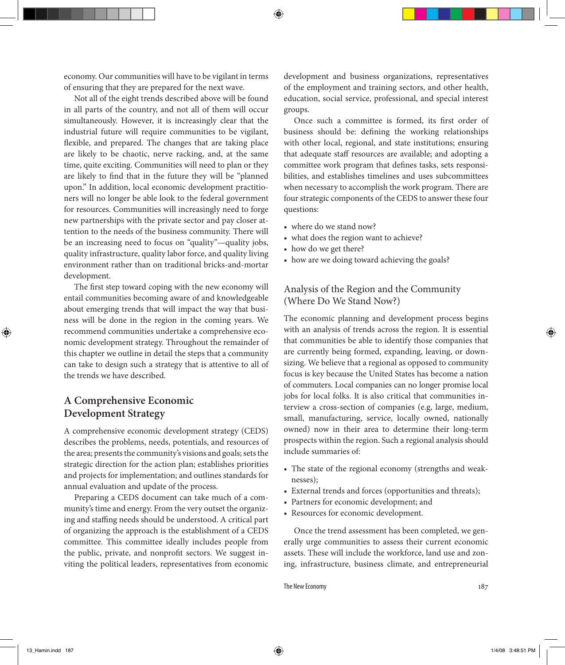economy. Our communities will have to be vigilant in terms of ensuring that they are prepared for the next wave.

Not all of the eight trends described above will be found in all parts of the country, and not all of them will occur simultaneously. However, it is increasingly clear that the industrial future will require communities to be vigilant, flexible, and prepared. The changes that are taking place are likely to be chaotic, nerve racking, and, at the same time, quite exciting. Communities will need to plan or they are likely to find that in the future they will be "planned upon." In addition, local economic development practitioners will no longer be able look to the federal government for resources. Communities will increasingly need to forge new partnerships with the private sector and pay closer attention to the needs of the business community. There will be an increasing need to focus on "quality"—quality jobs, quality infrastructure, quality labor force, and quality living environment rather than on traditional bricks-and-mortar development.

The first step toward coping with the new economy will entail communities becoming aware of and knowledgeable about emerging trends that will impact the way that business will be done in the region in the coming years. We recommend communities undertake a comprehensive economic development strategy. Throughout the remainder of this chapter we outline in detail the steps that a community can take to design such a strategy that is attentive to all of the trends we have described.

#### **A Comprehensive Economic Development Strategy**

A comprehensive economic development strategy (CEDS) describes the problems, needs, potentials, and resources of the area; presents the community's visions and goals; sets the strategic direction for the action plan; establishes priorities and projects for implementation; and outlines standards for annual evaluation and update of the process.

Preparing a CEDS document can take much of a community's time and energy. From the very outset the organizing and staffing needs should be understood. A critical part of organizing the approach is the establishment of a CEDS committee. This committee ideally includes people from the public, private, and nonprofit sectors. We suggest inviting the political leaders, representatives from economic

development and business organizations, representatives of the employment and training sectors, and other health, education, social service, professional, and special interest groups.

Once such a committee is formed, its first order of business should be: defining the working relationships with other local, regional, and state institutions; ensuring that adequate staff resources are available; and adopting a committee work program that defines tasks, sets responsibilities, and establishes timelines and uses subcommittees when necessary to accomplish the work program. There are four strategic components of the CEDS to answer these four questions:

- where do we stand now?
- what does the region want to achieve?
- how do we get there?
- how are we doing toward achieving the goals?

#### Analysis of the Region and the Community (Where Do We Stand Now?)

The economic planning and development process begins with an analysis of trends across the region. It is essential that communities be able to identify those companies that are currently being formed, expanding, leaving, or downsizing. We believe that a regional as opposed to community focus is key because the United States has become a nation of commuters. Local companies can no longer promise local jobs for local folks. It is also critical that communities interview a cross-section of companies (e.g, large, medium, small, manufacturing, service, locally owned, nationally owned) now in their area to determine their long-term prospects within the region. Such a regional analysis should include summaries of:

- The state of the regional economy (strengths and weaknesses);
- External trends and forces (opportunities and threats);
- Partners for economic development; and
- Resources for economic development.

Once the trend assessment has been completed, we generally urge communities to assess their current economic assets. These will include the workforce, land use and zoning, infrastructure, business climate, and entrepreneurial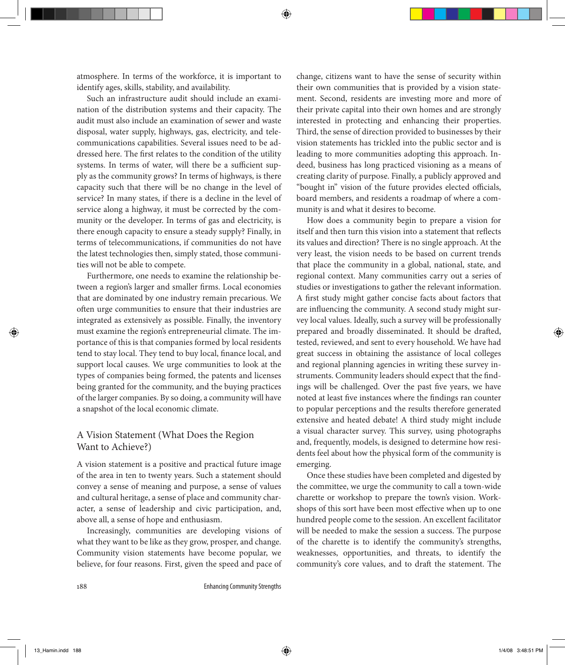atmosphere. In terms of the workforce, it is important to identify ages, skills, stability, and availability.

Such an infrastructure audit should include an examination of the distribution systems and their capacity. The audit must also include an examination of sewer and waste disposal, water supply, highways, gas, electricity, and telecommunications capabilities. Several issues need to be addressed here. The first relates to the condition of the utility systems. In terms of water, will there be a sufficient supply as the community grows? In terms of highways, is there capacity such that there will be no change in the level of service? In many states, if there is a decline in the level of service along a highway, it must be corrected by the community or the developer. In terms of gas and electricity, is there enough capacity to ensure a steady supply? Finally, in terms of telecommunications, if communities do not have the latest technologies then, simply stated, those communities will not be able to compete.

Furthermore, one needs to examine the relationship between a region's larger and smaller firms. Local economies that are dominated by one industry remain precarious. We often urge communities to ensure that their industries are integrated as extensively as possible. Finally, the inventory must examine the region's entrepreneurial climate. The importance of this is that companies formed by local residents tend to stay local. They tend to buy local, finance local, and support local causes. We urge communities to look at the types of companies being formed, the patents and licenses being granted for the community, and the buying practices of the larger companies. By so doing, a community will have a snapshot of the local economic climate.

#### A Vision Statement (What Does the Region Want to Achieve?)

A vision statement is a positive and practical future image of the area in ten to twenty years. Such a statement should convey a sense of meaning and purpose, a sense of values and cultural heritage, a sense of place and community character, a sense of leadership and civic participation, and, above all, a sense of hope and enthusiasm.

Increasingly, communities are developing visions of what they want to be like as they grow, prosper, and change. Community vision statements have become popular, we believe, for four reasons. First, given the speed and pace of

change, citizens want to have the sense of security within their own communities that is provided by a vision statement. Second, residents are investing more and more of their private capital into their own homes and are strongly interested in protecting and enhancing their properties. Third, the sense of direction provided to businesses by their vision statements has trickled into the public sector and is leading to more communities adopting this approach. Indeed, business has long practiced visioning as a means of creating clarity of purpose. Finally, a publicly approved and "bought in" vision of the future provides elected officials, board members, and residents a roadmap of where a community is and what it desires to become.

How does a community begin to prepare a vision for itself and then turn this vision into a statement that reflects its values and direction? There is no single approach. At the very least, the vision needs to be based on current trends that place the community in a global, national, state, and regional context. Many communities carry out a series of studies or investigations to gather the relevant information. A first study might gather concise facts about factors that are influencing the community. A second study might survey local values. Ideally, such a survey will be professionally prepared and broadly disseminated. It should be drafted, tested, reviewed, and sent to every household. We have had great success in obtaining the assistance of local colleges and regional planning agencies in writing these survey instruments. Community leaders should expect that the findings will be challenged. Over the past five years, we have noted at least five instances where the findings ran counter to popular perceptions and the results therefore generated extensive and heated debate! A third study might include a visual character survey. This survey, using photographs and, frequently, models, is designed to determine how residents feel about how the physical form of the community is emerging.

Once these studies have been completed and digested by the committee, we urge the community to call a town-wide charette or workshop to prepare the town's vision. Workshops of this sort have been most effective when up to one hundred people come to the session. An excellent facilitator will be needed to make the session a success. The purpose of the charette is to identify the community's strengths, weaknesses, opportunities, and threats, to identify the community's core values, and to draft the statement. The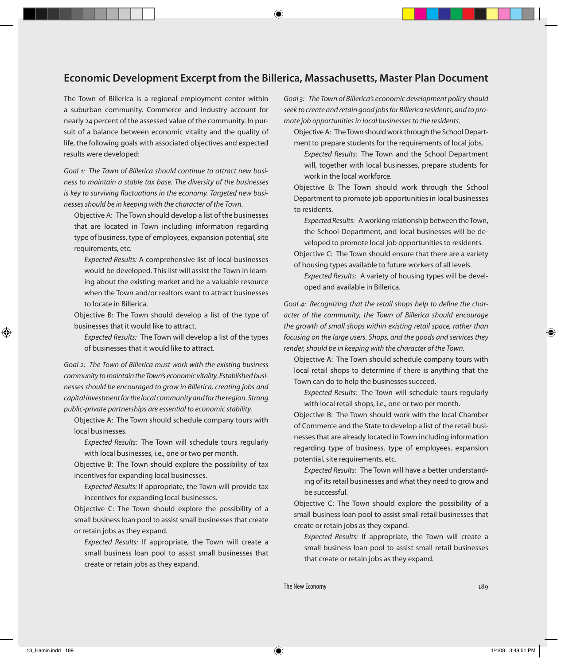#### **Economic Development Excerpt from the Billerica, Massachusetts, Master Plan Document**

The Town of Billerica is a regional employment center within a suburban community. Commerce and industry account for nearly 24 percent of the assessed value of the community. In pursuit of a balance between economic vitality and the quality of life, the following goals with associated objectives and expected results were developed:

*Goal 1: The Town of Billerica should continue to attract new business to maintain a stable tax base. The diversity of the businesses is key to surviving fluctuations in the economy. Targeted new businesses should be in keeping with the character of the Town.*

Objective A: The Town should develop a list of the businesses that are located in Town including information regarding type of business, type of employees, expansion potential, site requirements, etc.

*Expected Results:* A comprehensive list of local businesses would be developed. This list will assist the Town in learning about the existing market and be a valuable resource when the Town and/or realtors want to attract businesses to locate in Billerica.

Objective B: The Town should develop a list of the type of businesses that it would like to attract.

*Expected Results:* The Town will develop a list of the types of businesses that it would like to attract.

*Goal 2: The Town of Billerica must work with the existing business community to maintain the Town's economic vitality. Established businesses should be encouraged to grow in Billerica, creating jobs and capital investment for the local community and for the region. Strong public-private partnerships are essential to economic stability.*

Objective A: The Town should schedule company tours with local businesses.

*Expected Results:* The Town will schedule tours regularly with local businesses, i.e., one or two per month.

Objective B: The Town should explore the possibility of tax incentives for expanding local businesses.

*Expected Results:* If appropriate, the Town will provide tax incentives for expanding local businesses.

Objective C: The Town should explore the possibility of a small business loan pool to assist small businesses that create or retain jobs as they expand.

*Expected Results:* If appropriate, the Town will create a small business loan pool to assist small businesses that create or retain jobs as they expand.

*Goal 3: The Town of Billerica's economic development policy should seek to create and retain good jobs for Billerica residents, and to promote job opportunities in local businesses to the residents.*

Objective A: The Town should work through the School Department to prepare students for the requirements of local jobs.

*Expected Results:* The Town and the School Department will, together with local businesses, prepare students for work in the local workforce.

Objective B: The Town should work through the School Department to promote job opportunities in local businesses to residents.

*Expected Results*: A working relationship between the Town, the School Department, and local businesses will be developed to promote local job opportunities to residents.

Objective C: The Town should ensure that there are a variety of housing types available to future workers of all levels.

*Expected Results:* A variety of housing types will be developed and available in Billerica.

*Goal 4: Recognizing that the retail shops help to define the character of the community, the Town of Billerica should encourage the growth of small shops within existing retail space, rather than focusing on the large users. Shops, and the goods and services they render, should be in keeping with the character of the Town.*

Objective A: The Town should schedule company tours with local retail shops to determine if there is anything that the Town can do to help the businesses succeed.

*Expected Results:* The Town will schedule tours regularly with local retail shops, i.e., one or two per month.

Objective B: The Town should work with the local Chamber of Commerce and the State to develop a list of the retail businesses that are already located in Town including information regarding type of business, type of employees, expansion potential, site requirements, etc.

*Expected Results:* The Town will have a better understanding of its retail businesses and what they need to grow and be successful.

Objective C: The Town should explore the possibility of a small business loan pool to assist small retail businesses that create or retain jobs as they expand.

*Expected Results:* If appropriate, the Town will create a small business loan pool to assist small retail businesses that create or retain jobs as they expand.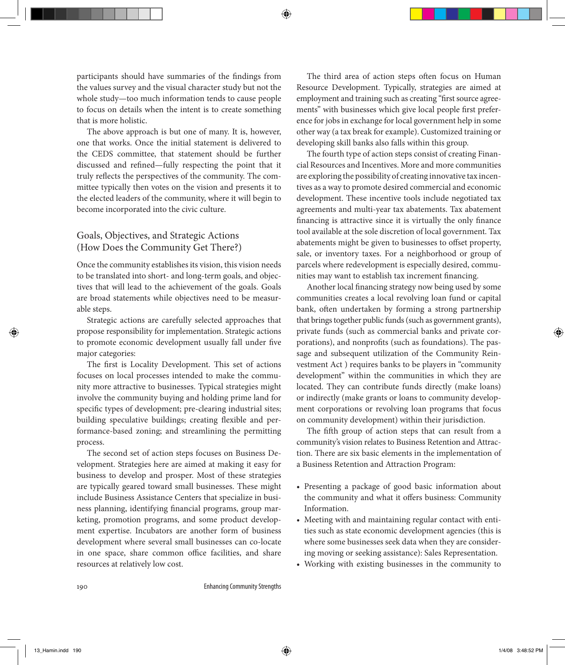participants should have summaries of the findings from the values survey and the visual character study but not the whole study—too much information tends to cause people to focus on details when the intent is to create something that is more holistic.

The above approach is but one of many. It is, however, one that works. Once the initial statement is delivered to the CEDS committee, that statement should be further discussed and refined—fully respecting the point that it truly reflects the perspectives of the community. The committee typically then votes on the vision and presents it to the elected leaders of the community, where it will begin to become incorporated into the civic culture.

#### Goals, Objectives, and Strategic Actions (How Does the Community Get There?)

Once the community establishes its vision, this vision needs to be translated into short- and long-term goals, and objectives that will lead to the achievement of the goals. Goals are broad statements while objectives need to be measurable steps.

Strategic actions are carefully selected approaches that propose responsibility for implementation. Strategic actions to promote economic development usually fall under five major categories:

The first is Locality Development. This set of actions focuses on local processes intended to make the community more attractive to businesses. Typical strategies might involve the community buying and holding prime land for specific types of development; pre-clearing industrial sites; building speculative buildings; creating flexible and performance-based zoning; and streamlining the permitting process.

The second set of action steps focuses on Business Development. Strategies here are aimed at making it easy for business to develop and prosper. Most of these strategies are typically geared toward small businesses. These might include Business Assistance Centers that specialize in business planning, identifying financial programs, group marketing, promotion programs, and some product development expertise. Incubators are another form of business development where several small businesses can co-locate in one space, share common office facilities, and share resources at relatively low cost.

The third area of action steps often focus on Human Resource Development. Typically, strategies are aimed at employment and training such as creating "first source agreements" with businesses which give local people first preference for jobs in exchange for local government help in some other way (a tax break for example). Customized training or developing skill banks also falls within this group.

The fourth type of action steps consist of creating Financial Resources and Incentives. More and more communities are exploring the possibility of creating innovative tax incentives as a way to promote desired commercial and economic development. These incentive tools include negotiated tax agreements and multi-year tax abatements. Tax abatement financing is attractive since it is virtually the only finance tool available at the sole discretion of local government. Tax abatements might be given to businesses to offset property, sale, or inventory taxes. For a neighborhood or group of parcels where redevelopment is especially desired, communities may want to establish tax increment financing.

Another local financing strategy now being used by some communities creates a local revolving loan fund or capital bank, often undertaken by forming a strong partnership that brings together public funds (such as government grants), private funds (such as commercial banks and private corporations), and nonprofits (such as foundations). The passage and subsequent utilization of the Community Reinvestment Act ) requires banks to be players in "community development" within the communities in which they are located. They can contribute funds directly (make loans) or indirectly (make grants or loans to community development corporations or revolving loan programs that focus on community development) within their jurisdiction.

The fifth group of action steps that can result from a community's vision relates to Business Retention and Attraction. There are six basic elements in the implementation of a Business Retention and Attraction Program:

- Presenting a package of good basic information about the community and what it offers business: Community Information.
- Meeting with and maintaining regular contact with entities such as state economic development agencies (this is where some businesses seek data when they are considering moving or seeking assistance): Sales Representation.
- Working with existing businesses in the community to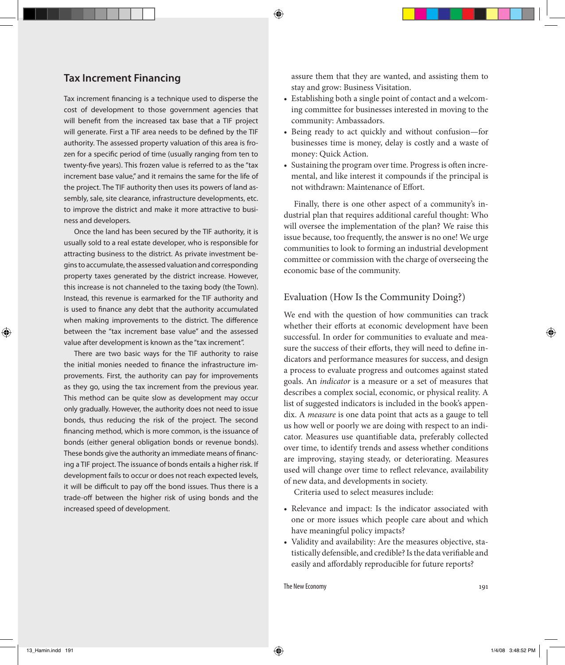#### **Tax Increment Financing**

Tax increment financing is a technique used to disperse the cost of development to those government agencies that will benefit from the increased tax base that a TIF project will generate. First a TIF area needs to be defined by the TIF authority. The assessed property valuation of this area is frozen for a specific period of time (usually ranging from ten to twenty-five years). This frozen value is referred to as the "tax increment base value," and it remains the same for the life of the project. The TIF authority then uses its powers of land assembly, sale, site clearance, infrastructure developments, etc. to improve the district and make it more attractive to business and developers.

Once the land has been secured by the TIF authority, it is usually sold to a real estate developer, who is responsible for attracting business to the district. As private investment begins to accumulate, the assessed valuation and corresponding property taxes generated by the district increase. However, this increase is not channeled to the taxing body (the Town). Instead, this revenue is earmarked for the TIF authority and is used to finance any debt that the authority accumulated when making improvements to the district. The difference between the "tax increment base value" and the assessed value after development is known as the "tax increment".

There are two basic ways for the TIF authority to raise the initial monies needed to finance the infrastructure improvements. First, the authority can pay for improvements as they go, using the tax increment from the previous year. This method can be quite slow as development may occur only gradually. However, the authority does not need to issue bonds, thus reducing the risk of the project. The second financing method, which is more common, is the issuance of bonds (either general obligation bonds or revenue bonds). These bonds give the authority an immediate means of financing a TIF project. The issuance of bonds entails a higher risk. If development fails to occur or does not reach expected levels, it will be difficult to pay off the bond issues. Thus there is a trade-off between the higher risk of using bonds and the increased speed of development.

assure them that they are wanted, and assisting them to stay and grow: Business Visitation.

- Establishing both a single point of contact and a welcoming committee for businesses interested in moving to the community: Ambassadors.
- Being ready to act quickly and without confusion—for businesses time is money, delay is costly and a waste of money: Quick Action.
- Sustaining the program over time. Progress is often incremental, and like interest it compounds if the principal is not withdrawn: Maintenance of Effort.

Finally, there is one other aspect of a community's industrial plan that requires additional careful thought: Who will oversee the implementation of the plan? We raise this issue because, too frequently, the answer is no one! We urge communities to look to forming an industrial development committee or commission with the charge of overseeing the economic base of the community.

#### Evaluation (How Is the Community Doing?)

We end with the question of how communities can track whether their efforts at economic development have been successful. In order for communities to evaluate and measure the success of their efforts, they will need to define indicators and performance measures for success, and design a process to evaluate progress and outcomes against stated goals. An *indicator* is a measure or a set of measures that describes a complex social, economic, or physical reality. A list of suggested indicators is included in the book's appendix. A *measure* is one data point that acts as a gauge to tell us how well or poorly we are doing with respect to an indicator. Measures use quantifiable data, preferably collected over time, to identify trends and assess whether conditions are improving, staying steady, or deteriorating. Measures used will change over time to reflect relevance, availability of new data, and developments in society.

Criteria used to select measures include:

- Relevance and impact: Is the indicator associated with one or more issues which people care about and which have meaningful policy impacts?
- Validity and availability: Are the measures objective, statistically defensible, and credible? Is the data verifiable and easily and affordably reproducible for future reports?

The New Economy 191